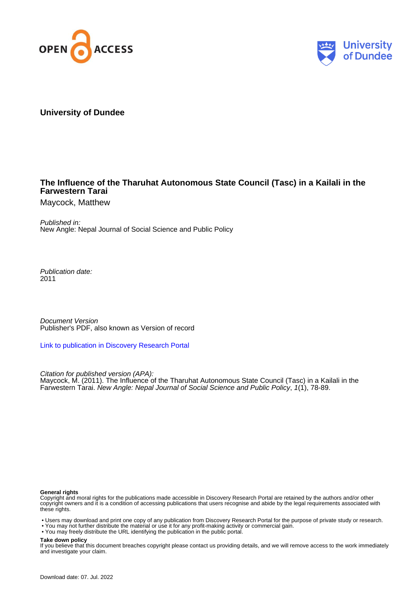



# **University of Dundee**

# **The Influence of the Tharuhat Autonomous State Council (Tasc) in a Kailali in the Farwestern Tarai**

Maycock, Matthew

Published in: New Angle: Nepal Journal of Social Science and Public Policy

Publication date: 2011

Document Version Publisher's PDF, also known as Version of record

[Link to publication in Discovery Research Portal](https://discovery.dundee.ac.uk/en/publications/84713e5b-db49-49a8-a3be-880dda834345)

Citation for published version (APA): Maycock, M. (2011). The Influence of the Tharuhat Autonomous State Council (Tasc) in a Kailali in the Farwestern Tarai. New Angle: Nepal Journal of Social Science and Public Policy, 1(1), 78-89.

### **General rights**

Copyright and moral rights for the publications made accessible in Discovery Research Portal are retained by the authors and/or other copyright owners and it is a condition of accessing publications that users recognise and abide by the legal requirements associated with these rights.

• Users may download and print one copy of any publication from Discovery Research Portal for the purpose of private study or research.

• You may not further distribute the material or use it for any profit-making activity or commercial gain.

• You may freely distribute the URL identifying the publication in the public portal.

### **Take down policy**

If you believe that this document breaches copyright please contact us providing details, and we will remove access to the work immediately and investigate your claim.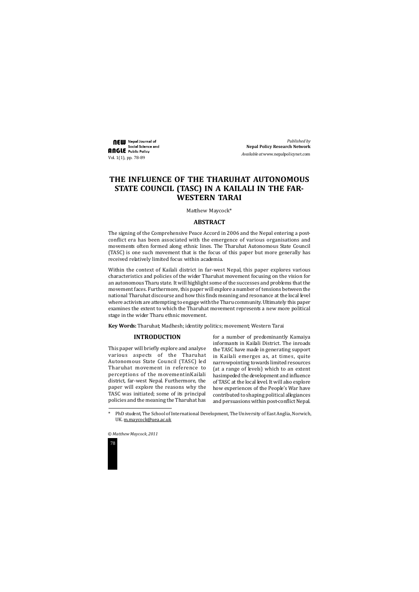



# **THE INFLUENCE OF THE THARUHAT AUTONOMOUS STATE COUNCIL (TASC) IN A KAILALI IN THE FAR-WESTERN TARAI**

# **ABSTRACT**

The signing of the Comprehensive Peace Accord in 2006 and the Nepal entering a postconflict era has been associated with the emergence of various organisations and movements often formed along ethnic lines. The Tharuhat Autonomous State Council (TASC) is one such movement that is the focus of this paper but more generally has received relatively limited focus within academia.

Within the context of Kailali district in far-west Nepal, this paper explores various characteristics and policies of the wider Tharuhat movement focusing on the vision for an autonomous Tharu state. It will highlight some of the successes and problems that the movement faces. Furthermore, this paper will explore a number of tensions between the national Tharuhat discourse and how this finds meaning and resonance at the local level where activists are attempting to engage with the Tharu community. Ultimately this paper examines the extent to which the Tharuhat movement represents a new more political stage in the wider Tharu ethnic movement.

**NEW** Nepal Journal of Social Science and Angle Public Policy Vol. 1(1), pp. 78-89

**Key Words:** Tharuhat; Madhesh; identity politics; movement; Western Tarai

Matthew Maycock\*

# **INTRODUCTION**

This paper will briefly explore and analyse various aspects of the Tharuhat Autonomous State Council (TASC) led Tharuhat movement in reference to perceptions of the movementinKailali district, far-west Nepal. Furthermore, the paper will explore the reasons why the TASC was initiated; some of its principal policies and the meaning the Tharuhat has for a number of predominantly Kamaiya informants in Kailali District. The inroads the TASC have made in generating support in Kailali emerges as, at times, quite narrowpointing towards limited resources (at a range of levels) which to an extent hasimpeded the development and influence of TASC at the local level. It will also explore how experiences of the People's War have contributed to shaping political allegiances and persuasions within post-conflict Nepal.

*Published by* **Nepal Policy Research Network** *Available at* www.nepalpolicynet.com

<sup>\*</sup> PhD student, The School of International Development, The University of East Anglia, Norwich, UK. m.maycock@uea.ac.uk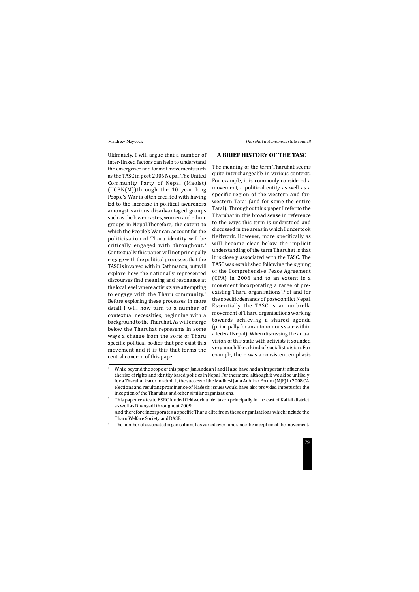Ultimately, I will argue that a number of inter-linked factors can help to understand the emergence and formof movements such as the TASC in post-2006 Nepal. The United Community Party of Nepal (Maoist) (UCPN(M))through the 10 year long People's War is often credited with having led to the increase in political awareness amongst various disadvantaged groups such as the lower castes, women and ethnic groups in Nepal.Therefore, the extent to which the People's War can account for the politicisation of Tharu identity will be critically engaged with throughout.<sup>1</sup> Contextually this paper will not principally engage with the political processes that the TASC is involved with in Kathmandu, but will explore how the nationally represented discourses find meaning and resonance at the local level where activists are attempting to engage with the Tharu community.<sup>2</sup> Before exploring these processes in more detail I will now turn to a number of contextual necessities, beginning with a background to the Tharuhat. As will emerge below the Tharuhat represents in some ways a change from the sorts of Tharu specific political bodies that pre-exist this movement and it is this that forms the central concern of this paper.

# **A BRIEF HISTORY OF THE TASC**

The meaning of the term Tharuhat seems quite interchangeable in various contexts. For example, it is commonly considered a movement, a political entity as well as a specific region of the western and farwestern Tarai (and for some the entire Tarai). Throughout this paper I refer to the Tharuhat in this broad sense in reference to the ways this term is understood and discussed in the areas in which I undertook fieldwork. However, more specifically as will become clear below the implicit understanding of the term Tharuhat is that it is closely associated with the TASC. The TASC was established following the signing of the Comprehensive Peace Agreement (CPA) in 2006 and to an extent is a movement incorporating a range of preexisting Tharu organisations<sup>3</sup>,<sup>4</sup> of and for the specific demands of post-conflict Nepal. Essentially the TASC is an umbrella movement of Tharu organisations working towards achieving a shared agenda (principally for an autonomous state within a federal Nepal). When discussing the actual vision of this state with activists it sounded very much like a kind of socialist vision. For example, there was a consistent emphasis

<sup>&</sup>lt;sup>1</sup> While beyond the scope of this paper Jan Andolan I and II also have had an important influence in the rise of rights and identity based politics in Nepal. Furthermore, although it would be unlikely for a Tharuhat leader to admit it, the success of the Madhesi Jana Adhikar Forum (MJF) in 2008 CA elections and resultant prominence of Madeshi issues would have also provided impetus for the inception of the Tharuhat and other similar organisations.

<sup>&</sup>lt;sup>2</sup> This paper relates to ESRC funded fieldwork undertaken principally in the east of Kailali district as well as Dhangadi throughout 2009.

 $3$  And therefore incorporates a specific Tharu elite from these organisations which include the Tharu Welfare Society and BASE.

<sup>&</sup>lt;sup>4</sup> The number of associated organisations has varied over time since the inception of the movement.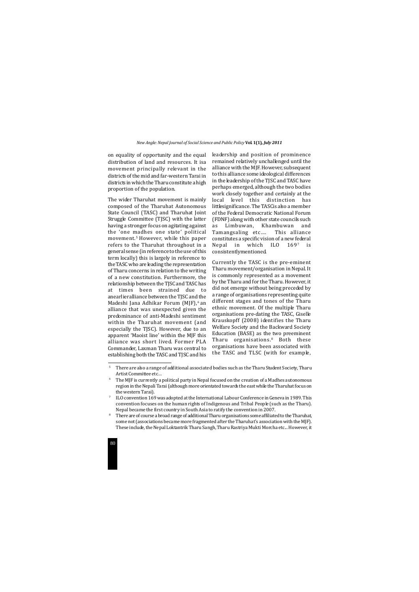

on equality of opportunity and the equal distribution of land and resources. It isa movement principally relevant in the districts of the mid and far-western Tarai in districts in which the Tharu constitute a high proportion of the population.

The wider Tharuhat movement is mainly composed of the Tharuhat Autonomous State Council (TASC) and Tharuhat Joint Struggle Committee (TJSC) with the latter having a stronger focus on agitating against the 'one madhes one state' political movement.5 However, while this paper refers to the Tharuhat throughout in a general sense (in reference to the use of this term locally) this is largely in reference to the TASC who are leading the representation of Tharu concerns in relation to the writing of a new constitution. Furthermore, the relationship between the TJSC and TASC has at times been strained due to anearlieralliance between the TJSC and the Madeshi Jana Adhikar Forum (MJF),<sup>6</sup> an alliance that was unexpected given the predominance of anti-Madeshi sentiment within the Tharuhat movement (and especially the TJSC). However, due to an apparent 'Maoist line' within the MJF this alliance was short lived. Former PLA Commander, Laxman Tharu was central to establishing both the TASC and TJSC and his

leadership and position of prominence remained relatively unchallenged until the alliance with the MJF. However, subsequent to this alliance some ideological differences in the leadership of the TJSC and TASC have perhaps emerged, although the two bodies work closely together and certainly at the local level this distinction has littlesignificance. The TASCis also a member of the Federal Democratic National Forum (FDNF) along with other state councils such as Limbuwan, Khambuwan and Tamangsaling etc…. This alliance constitutes a specific vision of a new federal Nepal in which ILO 1697 is consistentlymentioned.

Currently the TASC is the pre-eminent Tharu movement/organisation in Nepal. It is commonly represented as a movement by the Tharu and for the Tharu. However, it did not emerge without being preceded by a range of organisations representing quite different stages and tones of the Tharu ethnic movement. Of the multiple Tharu organisations pre-dating the TASC, Giselle Krauskopff (2008) identifies the Tharu Welfare Society and the Backward Society Education (BASE) as the two preeminent Tharu organisations.8 Both these organisations have been associated with the TASC and TLSC (with for example,

<sup>&</sup>lt;sup>5</sup> There are also a range of additional associated bodies such as the Tharu Student Society, Tharu Artist Committee etc…

 $6$  The MJF is currently a political party in Nepal focused on the creation of a Madhes autonomous region in the Nepali Tarai (although more orientated towards the east while the Tharuhat focus on the western Tarai).

<sup>&</sup>lt;sup>8</sup> There are of course a broad range of additional Tharu organisations some affiliated to the Tharuhat, some not (associations became more fragmented after the Tharuhat's association with the MJF). These include, the Nepal Loktantrik Tharu Sangh, Tharu Rastriya Mukti Morcha etc... However, it

<sup>7</sup> ILO convention 169 was adopted at the International Labour Conference in Geneva in 1989. This convention focuses on the human rights of Indigenous and Tribal People (such as the Tharu). Nepal became the first country in South Asia to ratify the convention in 2007.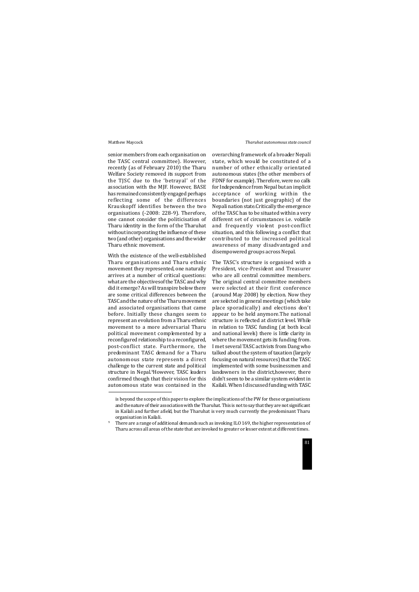senior members from each organisation on the TASC central committee). However, recently (as of February 2010) the Tharu Welfare Society removed its support from the TJSC due to the 'betrayal' of the association with the MJF. However, BASE has remained consistently engaged perhaps reflecting some of the differences Krauskopff identifies between the two organisations (-2008: 228-9). Therefore, one cannot consider the politicisation of Tharu identity in the form of the Tharuhat without incorporating the influence of these two (and other) organisations and the wider Tharu ethnic movement.

With the existence of the well-established Tharu organisations and Tharu ethnic movement they represented, one naturally arrives at a number of critical questions: what are the objectivesof the TASC and why did it emerge? As will transpire below there are some critical differences between the TASC and the nature of the Tharu movement and associated organisations that came before. Initially these changes seem to represent an evolution from a Tharu ethnic movement to a more adversarial Tharu political movement complemented by a reconfigured relationship to a reconfigured, post-conflict state. Furthermore, the predominant TASC demand for a Tharu autonomous state represents a direct challenge to the current state and political structure in Nepal<sup>9</sup>However, TASC leaders confirmed though that their vision for this autonomous state was contained in the overarching framework of a broader Nepali state, which would be constituted of a number of other ethnically orientated autonomous states (the other members of FDNF for example). Therefore, were no calls for Independence from Nepal but an implicit acceptance of working within the boundaries (not just geographic) of the Nepali nation state.Critically the emergence of the TASC has to be situated within a very different set of circumstances i.e. volatile and frequently violent post-conflict situation, and this following a conflict that contributed to the increased political awareness of many disadvantaged and disempowered groups across Nepal.

The TASC's structure is organised with a President, vice-President and Treasurer who are all central committee members. The original central committee members were selected at their first conference (around May 2008) by election. Now they are selected in general meetings (which take place sporadically) and elections don't appear to be held anymore.The national structure is reflected at district level. While in relation to TASC funding (at both local and national levels) there is little clarity in where the movement gets its funding from. I met several TASC activists from Dang who talked about the system of taxation (largely focusing on natural resources) that the TASC implemented with some businessmen and landowners in the district,however, there didn't seem to be a similar system evident in Kailali. When I discussed funding with TASC

is beyond the scope of this paper to explore the implications of the PW for these organisations and the nature of their association with the Tharuhat. This is not to say that they are not significant in Kailali and further afield, but the Tharuhat is very much currently the predominant Tharu organisation in Kailali.

<sup>9</sup> There are a range of additional demands such as invoking ILO 169, the higher representation of Tharu across all areas of the state that are invoked to greater or lesser extent at different times.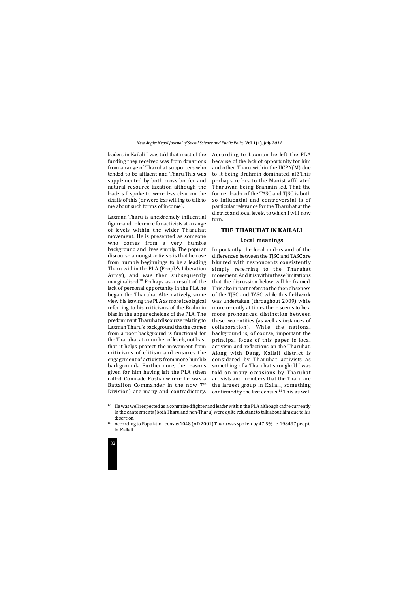

leaders in Kailali I was told that most of the funding they received was from donations from a range of Tharuhat supporters who tended to be affluent and Tharu.This was supplemented by both cross border and natural resource taxation although the leaders I spoke to were less clear on the details of this (or were less willing to talk to me about such forms of income).

Laxman Tharu is anextremely influential figure and reference for activists at a range of levels within the wider Tharuhat movement. He is presented as someone who comes from a very humble background and lives simply. The popular discourse amongst activists is that he rose from humble beginnings to be a leading Tharu within the PLA (People's Liberation Army), and was then subsequently marginalised.10 Perhaps as a result of the lack of personal opportunity in the PLA he began the Tharuhat.Alternatively, some view his leaving the PLA as more ideological referring to his criticisms of the Brahmin bias in the upper echelons of the PLA. The predominant Tharuhat discourse relating to Laxman Tharu's background thathe comes from a poor background is functional for the Tharuhat at a number of levels, not least that it helps protect the movement from criticisms of elitism and ensures the engagement of activists from more humble backgrounds. Furthermore, the reasons given for him having left the PLA (then called Comrade Roshanwhere he was a Battalion Commander in the now 7<sup>th</sup> Division) are many and contradictory.

Importantly the local understand of the differences between the TJSC and TASC are blurred with respondents consistently simply referring to the Tharuhat movement. And it is within these limitations that the discussion below will be framed. This also in part refers to the then closeness of the TJSC and TASC while this fieldwork was undertaken (throughout 2009) while more recently at times there seems to be a more pronounced distinction between these two entities (as well as instances of collaboration). While the national background is, of course, important the principal focus of this paper is local activism and reflections on the Tharuhat. Along with Dang, Kailali district is considered by Tharuhat activists as something of a Tharuhat stronghold.I was told on many occasions by Tharuhat activists and members that the Tharu are the largest group in Kailali, something confirmedby the last census.<sup>11</sup> This as well

According to Laxman he left the PLA because of the lack of opportunity for him and other Tharu within the UCPN(M) due to it being Brahmin dominated. al $@$ This perhaps refers to the Maoist affiliated Tharuwan being Brahmin led. That the former leader of the TASC and TJSC is both so influential and controversial is of particular relevance for the Tharuhat at the district and local levels, to which I will now turn.

# **THE THARUHAT IN KAILALI**

# **Local meanings**

 $10$  He was well respected as a committed fighter and leader within the PLA although cadre currently in the cantonments (both Tharu and non-Tharu) were quite reluctant to talk about him due to his desertion.

<sup>&</sup>lt;sup>11</sup> According to Population census 2048 (AD 2001) Tharu was spoken by 47.5% i.e. 198497 people in Kailali.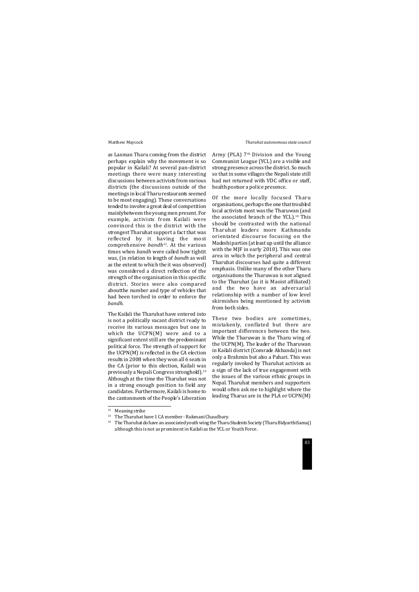as Laxman Tharu coming from the district perhaps explain why the movement is so popular in Kailali? At several pan-district meetings there were many interesting discussions between activists from various districts (the discussions outside of the meetings in local Tharu restaurants seemed to be most engaging). These conversations tended to involve a great deal of competition mainlybetween the young men present. For example, activists from Kailali were convinced this is the district with the strongest Tharuhat support a fact that was reflected by it having the most comprehensive *bandh12*. At the various times when *bandh* were called how tightit was, (in relation to length of *bandh* as well as the extent to which the it was observed) was considered a direct reflection of the strength of the organisation in this specific district. Stories were also compared aboutthe number and type of vehicles that had been torched in order to enforce the *bandh*.

Army (PLA)  $7<sup>th</sup>$  Division and the Young Communist League (YCL) are a visible and strong presence across the district. So much so that in some villages the Nepali state still had not returned with VDC office or staff, health postsor a police presence.

The Kailali the Tharuhat have entered into is not a politically vacant district ready to receive its various messages but one in which the UCPN(M) were and to a significant extent still are the predominant political force. The strength of support for the UCPN(M) is reflected in the CA election results in 2008 when they won all 6 seats in the CA (prior to this election, Kailali was previously a Nepali Congress stronghold).<sup>13</sup> Although at the time the Tharuhat was not in a strong enough position to field any candidates. Furthermore, Kailali is home to the cantonments of the People's Liberation Of the more locally focused Tharu organisations, perhaps the one that troubled local activists most was the Tharuwan (and the associated branch of the YCL). $14$  This should be contrasted with the national Tharuhat leaders more Kathmandu orientated discourse focusing on the Madeshi parties (at least up until the alliance with the MJF in early 2010). This was one area in which the peripheral and central Tharuhat discourses had quite a different emphasis. Unlike many of the other Tharu organisations the Tharuwan is not aligned to the Tharuhat (as it is Maoist affiliated) and the two have an adversarial relationship with a number of low level skirmishes being mentioned by activists from both sides.

These two bodies are sometimes, mistakenly, conflated but there are important differences between the two. While the Tharuwan is the Tharu wing of the UCPN(M). The leader of the Tharuwan in Kailali district (Comrade Akhanda) is not only a Brahmin but also a Pahari. This was regularly invoked by Tharuhat activists as a sign of the lack of true engagement with the issues of the various ethnic groups in Nepal. Tharuhat members and supporters would often ask me to highlight where the leading Tharus are in the PLA or UCPN(M)

<sup>&</sup>lt;sup>14</sup> The Tharuhat do have an associated youth wing the Tharu Students Society (Tharu BidyarthiSamaj) although this is not as prominent in Kailali as the YCL or Youth Force.

<sup>&</sup>lt;sup>12</sup> Meaning strike

<sup>&</sup>lt;sup>13</sup> The Tharuhat have 1 CA member - Rukmani Chaudhary.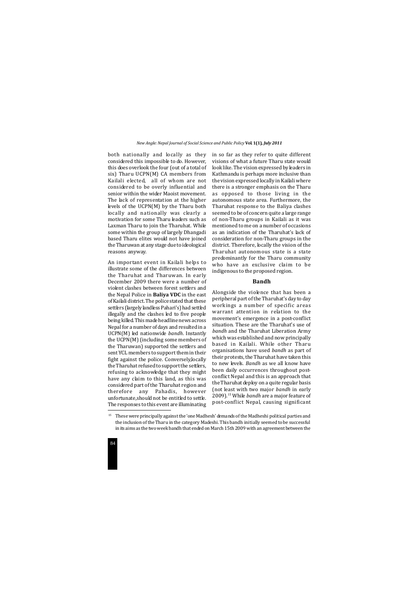

both nationally and locally as they considered this impossible to do. However, this does overlook the four (out of a total of six) Tharu UCPN(M) CA members from Kailali elected, all of whom are not considered to be overly influential and senior within the wider Maoist movement. The lack of representation at the higher levels of the UCPN(M) by the Tharu both locally and nationally was clearly a motivation for some Tharu leaders such as Laxman Tharu to join the Tharuhat. While some within the group of largely Dhangadi based Tharu elites would not have joined the Tharuwan at any stage due to ideological reasons anyway.

An important event in Kailali helps to illustrate some of the differences between the Tharuhat and Tharuwan. In early December 2009 there were a number of violent clashes between forest settlers and the Nepal Police in **Baliya VDC** in the east of Kailali district. The police stated that these settlers (largely landless Pahari's) had settled illegally and the clashes led to five people being killed. This made headline news across Nepal for a number of days and resulted in a UCPN(M) led nationwide *bandh*. Instantly the UCPN(M) (including some members of the Tharuwan) supported the settlers and sent YCL members to support them in their fight against the police. Conversely,locally the Tharuhat refused to support the settlers, refusing to acknowledge that they might have any claim to this land, as this was considered part of the Tharuhat region and therefore any Pahadis, however unfortunate,should not be entitled to settle. The responses to this event are illuminating in so far as they refer to quite different visions of what a future Tharu state would look like. The vision expressed by leaders in Kathmandu is perhaps more inclusive than the vision expressed locally in Kailali where there is a stronger emphasis on the Tharu as opposed to those living in the autonomous state area. Furthermore, the Tharuhat response to the Baliya clashes seemed to be of concern quite a large range of non-Tharu groups in Kailali as it was mentioned to me on a number of occasions as an indication of the Tharuhat's lack of consideration for non-Tharu groups in the district. Therefore, locally the vision of the Tharuhat autonomous state is a state predominantly for the Tharu community who have an exclusive claim to be indigenous to the proposed region.

## **Bandh**

Alongside the violence that has been a peripheral part of the Tharuhat's day to day workings a number of specific areas warrant attention in relation to the movement's emergence in a post-conflict situation. These are the Tharuhat's use of *bandh* and the Tharuhat Liberation Army which was established and now principally based in Kailali. While other Tharu organisations have used *bandh* as part of their protests, the Tharuhat have taken this to new levels. *Bandh* as we all know have been daily occurrences throughout postconflict Nepal and this is an approach that the Tharuhat deploy on a quite regular basis (not least with two major *bandh* in early 2009).15 While *bandh* are a major feature of post-conflict Nepal, causing significant

<sup>&</sup>lt;sup>15</sup> These were principally against the 'one Madhesh' demands of the Madheshi political parties and the inclusion of the Tharu in the category Madeshi. This bandh initially seemed to be successful in its aims as the two week bandh that ended on March 15th 2009 with an agreement between the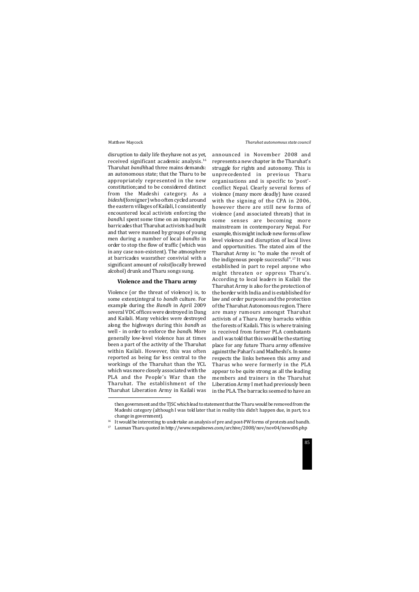disruption to daily life theyhave not as yet, received significant academic analysis.16 Tharuhat *bandh*had three mains demands: an autonomous state; that the Tharu to be appropriately represented in the new constitution;and to be considered distinct from the Madeshi category. As a *bideshi*(foreigner) who often cycled around the eastern villages of Kailali, I consistently encountered local activists enforcing the *bandh*.I spent some time on an impromptu barricades that Tharuhat activists had built and that were manned by groups of young men during a number of local *bandhs* in order to stop the flow of traffic (which was in any case non-existent). The atmosphere at barricades wasrather convivial with a significant amount of *raksi*(locally brewed alcohol) drunk and Tharu songs sung.

# **Violence and the Tharu army**

Violence (or the threat of violence) is, to some extent,integral to *bandh* culture. For example during the *Bandh* in April 2009 several VDC offices were destroyed in Dang and Kailali. Many vehicles were destroyed along the highways during this *bandh* as well - in order to enforce the *bandh*. More generally low-level violence has at times been a part of the activity of the Tharuhat within Kailali. However, this was often reported as being far less central to the workings of the Tharuhat than the YCL which was more closely associated with the PLA and the People's War than the Tharuhat. The establishment of the Tharuhat Liberation Army in Kailali was announced in November 2008 and represents a new chapter in the Tharuhat's struggle for rights and autonomy. This is unprecedented in previous Tharu organisations and is specific to 'post' conflict Nepal. Clearly several forms of violence (many more deadly) have ceased with the signing of the CPA in 2006, however there are still new forms of violence (and associated threats) that in some senses are becoming more mainstream in contemporary Nepal. For example, this might include new forms of low level violence and disruption of local lives and opportunities. The stated aim of the Tharuhat Army is: "to make the revolt of the indigenous people successful".17 It was established in part to repel anyone who might threaten or oppress Tharu's. According to local leaders in Kailali the Tharuhat Army is also for the protection of the border with India and is established for law and order purposes and the protection of the Tharuhat Autonomous region. There are many rumours amongst Tharuhat activists of a Tharu Army barracks within the forests of Kailali. This is where training is received from former PLA combatants and I was told that this would be the starting place for any future Tharu army offensive against the Pahari's and Madheshi's. In some respects the links between this army and Tharus who were formerly in the PLA appear to be quite strong as all the leading members and trainers in the Tharuhat Liberation Army I met had previously been in the PLA. The barracks seemed to have an

then government and the TJSC which lead to statement that the Tharu would be removed from the Madeshi category (although I was told later that in reality this didn't happen due, in part, to a change in government).

<sup>&</sup>lt;sup>16</sup> It would be interesting to undertake an analysis of pre and post-PW forms of protests and bandh.

<sup>17</sup> Laxman Tharu quoted in http://www.nepalnews.com/archive/2008/nov/nov04/news06.php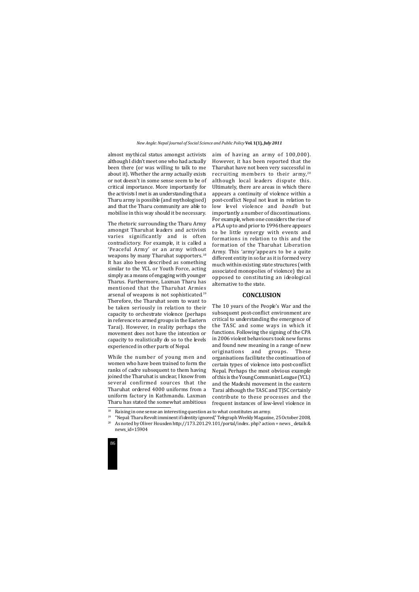

almost mythical status amongst activists although I didn't meet one who had actually been there (or was willing to talk to me about it). Whether the army actually exists or not doesn't in some sense seem to be of critical importance. More importantly for the activists I met is an understanding that a Tharu army is possible (and mythologised) and that the Tharu community are able to mobilise in this way should it be necessary.

The rhetoric surrounding the Tharu Army amongst Tharuhat leaders and activists varies significantly and is often contradictory. For example, it is called a 'Peaceful Army' or an army without weapons by many Tharuhat supporters.<sup>18</sup> It has also been described as something similar to the YCL or Youth Force, acting simply as a means of engaging with younger Tharus. Furthermore, Laxman Tharu has mentioned that the Tharuhat Armies arsenal of weapons is not sophisticated.<sup>19</sup> Therefore, the Tharuhat seem to want to be taken seriously in relation to their capacity to orchestrate violence (perhaps in reference to armed groups in the Eastern Tarai). However, in reality perhaps the movement does not have the intention or capacity to realistically do so to the levels experienced in other parts of Nepal.

While the number of young men and women who have been trained to form the ranks of cadre subsequent to them having joined the Tharuhat is unclear, I know from several confirmed sources that the Tharuhat ordered 4000 uniforms from a uniform factory in Kathmandu. Laxman Tharu has stated the somewhat ambitious aim of having an army of 100,000). However, it has been reported that the Tharuhat have not been very successful in recruiting members to their army,<sup>20</sup> although local leaders dispute this. Ultimately, there are areas in which there appears a continuity of violence within a post-conflict Nepal not least in relation to low level violence and *bandh* but importantly a number of discontinuations. For example, when one considers the rise of a PLA up to and prior to 1996 there appears to be little synergy with events and formations in relation to this and the formation of the Tharuhat Liberation Army. This 'army'appears to be a quite different entity in so far as it is formed very much within existing state structures (with associated monopolies of violence) the as opposed to constituting an ideological alternative to the state.

# **CONCLUSION**

The 10 years of the People's War and the subsequent post-conflict environment are critical to understanding the emergence of the TASC and some ways in which it functions. Following the signing of the CPA in 2006 violent behaviours took new forms and found new meaning in a range of new originations and groups. These organisations facilitate the continuation of certain types of violence into post-conflict Nepal. Perhaps the most obvious example of this is the Young Communist League (YCL) and the Madeshi movement in the eastern Tarai although the TASC and TJSC certainly contribute to these processes and the frequent instances of low-level violence in

<sup>&</sup>lt;sup>20</sup> As noted by Oliver Housden http://173.201.29.101/portal/index. php? action = news \_ details & news\_id=15904

 $18$  Raising in one sense an interesting question as to what constitutes an army.

<sup>&</sup>lt;sup>19</sup> "Nepal: Tharu Revolt imminent if identity ignored," Telegraph Weekly Magazine, 25 October 2008,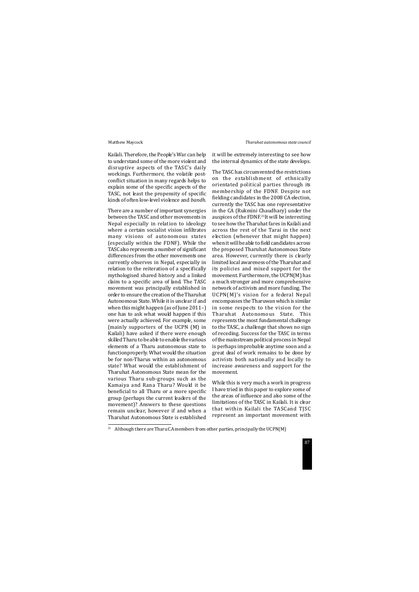Kailali. Therefore, the People's War can help to understand some of the more violent and disruptive aspects of the TASC's daily workings. Furthermore, the volatile postconflict situation in many regards helps to explain some of the specific aspects of the TASC, not least the propensity of specific kinds of often low-level violence and *bandh*.

There are a number of important synergies between the TASC and other movements in Nepal especially in relation to ideology where a certain socialist vision infiltrates many visions of autonomous states (especially within the FDNF). While the TASC also represents a number of significant differences from the other movements one currently observes in Nepal, especially in relation to the reiteration of a specifically mythologised shared history and a linked claim to a specific area of land. The TASC movement was principally established in order to ensure the creation of the Tharuhat Autonomous State. While it is unclear if and when this might happen (as of June 2011–) one has to ask what would happen if this were actually achieved. For example, some (mainly supporters of the UCPN (M) in Kailali) have asked if there were enough skilled Tharu to be able to enable the various elements of a Tharu autonomous state to functionproperly. What would the situation be for non-Tharus within an autonomous state? What would the establishment of Tharuhat Autonomous State mean for the various Tharu sub-groups such as the Kamaiya and Rana Tharu? Would it be beneficial to all Tharu or a more specific group (perhaps the current leaders of the movement)? Answers to these questions remain unclear, however if and when a Tharuhat Autonomous State is established it will be extremely interesting to see how the internal dynamics of the state develops.

The TASC has circumvented the restrictions on the establishment of ethnically orientated political parties through its membership of the FDNF. Despite not fielding candidates in the 2008 CA election, currently the TASC has one representative in the CA (Rukmini Chaudhary) under the auspices of the FDNF.21It will be interesting to see how the Tharuhat fares in Kailali and across the rest of the Tarai in the next election (whenever that might happen) when it will be able to field candidates across the proposed Tharuhat Autonomous State area. However, currently there is clearly limited local awareness of the Tharuhat and its policies and mixed support for the movement. Furthermore, the UCPN(M) has a much stronger and more comprehensive network of activists and more funding. The UCPN(M)'s vision for a federal Nepal encompasses the Tharuwan which is similar in some respects to the vision for the Tharuhat Autonomous State. This represents the most fundamental challenge to the TASC, a challenge that shows no sign of receding. Success for the TASC in terms of the mainstream political process in Nepal is perhaps improbable anytime soon and a great deal of work remains to be done by activists both nationally and locally to increase awareness and support for the movement.

While this is very much a work in progress I have tried in this paper to explore some of the areas of influence and also some of the limitations of the TASC in Kailali. It is clear that within Kailali the TASCand TJSC represent an important movement with

<sup>&</sup>lt;sup>21</sup> Although there are Tharu CA members from other parties, principally the UCPN(M)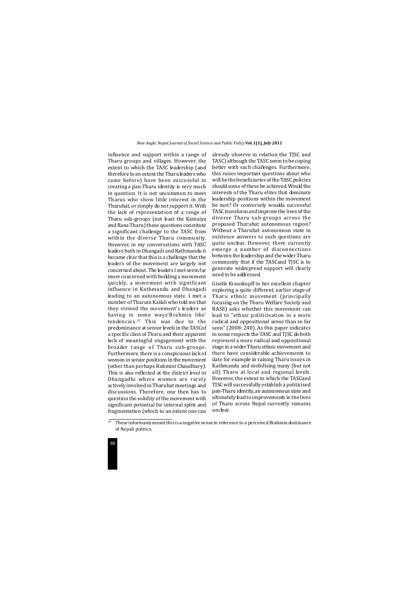

influence and support within a range of Tharu groups and villages. However, the extent to which the TASC leadership (and therefore to an extent the Tharu leaders who came before) have been successful in creating a pan-Tharu identity is very much in question. It is not uncommon to meet Tharus who show little interest in the Tharuhat, or simply do not support it. With the lack of representation of a range of Tharu sub-groups (not least the Kamaiya and Rana Tharu) these questions constitute a significant challenge to the TASC from within the diverse Tharu community. However, in my conversations with TASC leaders both in Dhangadi and Kathmandu it became clear that this is a challenge that the leaders of the movement are largely not concerned about. The leaders I met seem far more concerned with building a movement quickly, a movement with significant influence in Kathmandu and Dhangadi leading to an autonomous state. I met a number of Tharuin Kailali who told me that they viewed the movement's leaders as having in some ways'Brahmin like' tendencies.22 This was due to the predominance at senior levels in the TASCof a specific class of Tharu and their apparent lack of meaningful engagement with the broader range of Tharu sub-groups. Furthermore, there is a conspicuous lack of women in senior positions in the movement (other than perhaps Rukmini Chaudhary). This is also reflected at the district level in Dhangadhi where women are rarely actively involved in Tharuhat meetings and discussions. Therefore, one then has to question the solidity of the movement with significant potential for internal splits and fragmentation (which to an extent one can

already observe in relation the TJSC and TASC) although the TASC seem to be coping better with such challenges. Furthermore, this raises important questions about who will be the beneficiaries of the TASC policies should some of these be achieved. Would the interests of the Tharu elites that dominate leadership positions within the movement be met? Or conversely woulda successful TASC transform and improve the lives of the diverse Tharu sub-groups across the proposed Tharuhat autonomous region? Without a Tharuhat autonomous state in existence answers to such questions are quite unclear. However, there currently emerge a number of disconnections between the leadership and the wider Tharu community that if the TASCand TJSC is to generate widespread support will clearly need to be addressed.

Giselle Krauskopff in her excellent chapter exploring a quite different, earlier stage of Tharu ethnic movement (principally focusing on the Tharu Welfare Society and BASE) asks whether this movement can lead to "ethnic politicisation in a more radical and oppositional sense than so far seen" (2008: 240). As this paper indicates in some respects the TASC and TJSC do both represent a more radical and oppositional stage in a wider Tharu ethnic movement and there have considerable achievements to date for example in raising Tharu issues in Kathmandu and mobilising many (but not all) Tharu at local and regional levels. However, the extent to which the TASCand TJSC will successfully establish a politicised pan-Tharu identity, an autonomous state and ultimately lead to improvements in the lives of Tharu across Nepal currently remains unclear.

<sup>&</sup>lt;sup>22</sup> These informants meant this is a negative sense in reference to a perceived Brahmin dominance of Nepali politics.